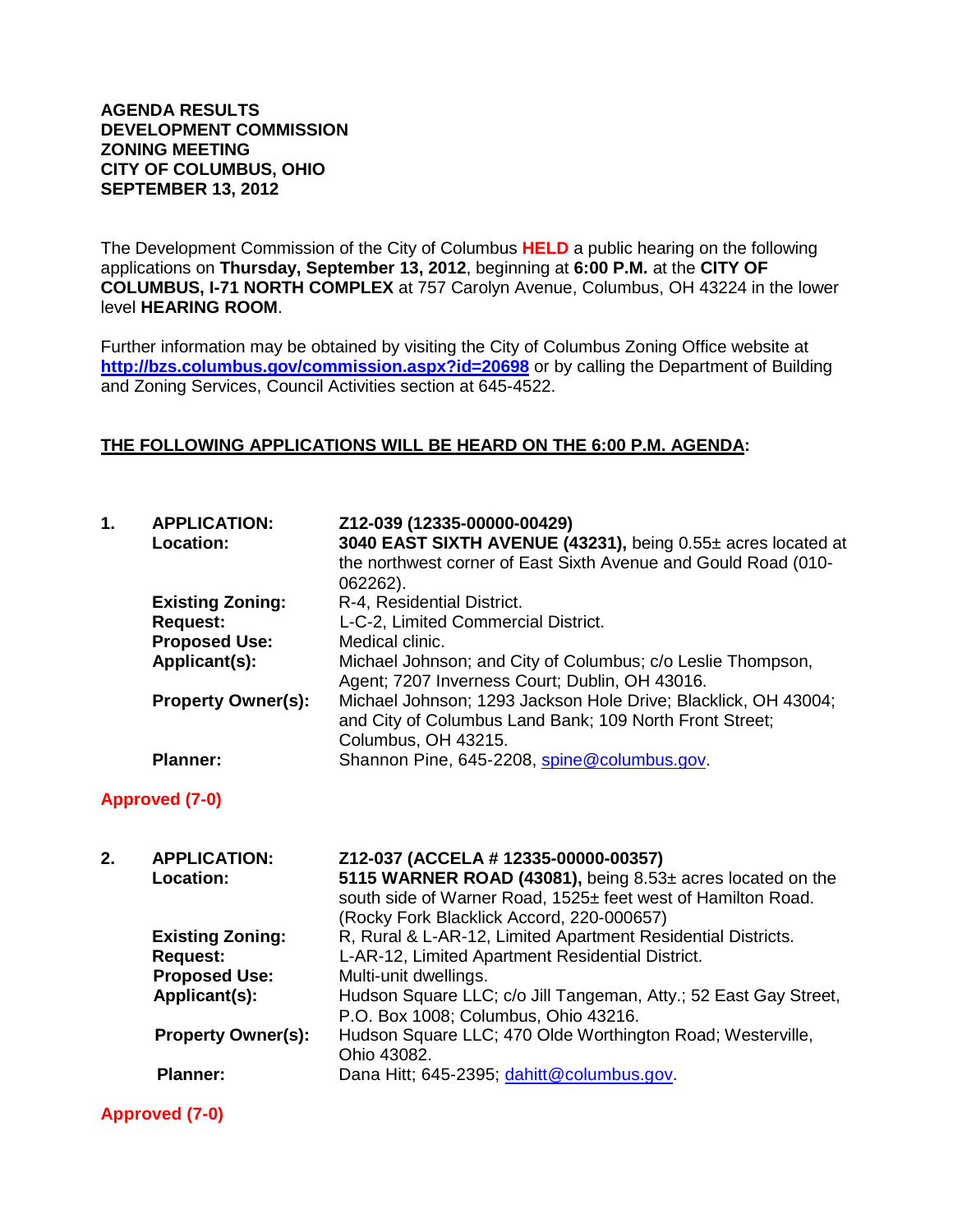## **AGENDA RESULTS DEVELOPMENT COMMISSION ZONING MEETING CITY OF COLUMBUS, OHIO SEPTEMBER 13, 2012**

The Development Commission of the City of Columbus **HELD** a public hearing on the following applications on **Thursday, September 13, 2012**, beginning at **6:00 P.M.** at the **CITY OF COLUMBUS, I-71 NORTH COMPLEX** at 757 Carolyn Avenue, Columbus, OH 43224 in the lower level **HEARING ROOM**.

Further information may be obtained by visiting the City of Columbus Zoning Office website at **http://bzs.columbus.gov/commission.aspx?id=20698** or by calling the Department of Building and Zoning Services, Council Activities section at 645-4522.

## **THE FOLLOWING APPLICATIONS WILL BE HEARD ON THE 6:00 P.M. AGENDA:**

| 1. | <b>APPLICATION:</b><br><b>Location:</b> | Z12-039 (12335-00000-00429)<br>3040 EAST SIXTH AVENUE (43231), being 0.55± acres located at<br>the northwest corner of East Sixth Avenue and Gould Road (010-<br>062262). |
|----|-----------------------------------------|---------------------------------------------------------------------------------------------------------------------------------------------------------------------------|
|    | <b>Existing Zoning:</b>                 | R-4, Residential District.                                                                                                                                                |
|    | <b>Request:</b>                         | L-C-2, Limited Commercial District.                                                                                                                                       |
|    | <b>Proposed Use:</b>                    | Medical clinic.                                                                                                                                                           |
|    | Applicant(s):                           | Michael Johnson; and City of Columbus; c/o Leslie Thompson,<br>Agent; 7207 Inverness Court; Dublin, OH 43016.                                                             |
|    | <b>Property Owner(s):</b>               | Michael Johnson; 1293 Jackson Hole Drive; Blacklick, OH 43004;<br>and City of Columbus Land Bank; 109 North Front Street;<br>Columbus, OH 43215.                          |
|    | <b>Planner:</b>                         | Shannon Pine, 645-2208, spine@columbus.gov.                                                                                                                               |

## **Approved (7-0)**

| 2. | <b>APPLICATION:</b>       | Z12-037 (ACCELA #12335-00000-00357)                              |
|----|---------------------------|------------------------------------------------------------------|
|    | Location:                 | 5115 WARNER ROAD (43081), being 8.53± acres located on the       |
|    |                           | south side of Warner Road, 1525± feet west of Hamilton Road.     |
|    |                           | (Rocky Fork Blacklick Accord, 220-000657)                        |
|    | <b>Existing Zoning:</b>   | R, Rural & L-AR-12, Limited Apartment Residential Districts.     |
|    | <b>Request:</b>           | L-AR-12, Limited Apartment Residential District.                 |
|    | <b>Proposed Use:</b>      | Multi-unit dwellings.                                            |
|    | Applicant(s):             | Hudson Square LLC; c/o Jill Tangeman, Atty.; 52 East Gay Street, |
|    |                           | P.O. Box 1008; Columbus, Ohio 43216.                             |
|    | <b>Property Owner(s):</b> | Hudson Square LLC; 470 Olde Worthington Road; Westerville,       |
|    |                           | Ohio 43082.                                                      |
|    | <b>Planner:</b>           | Dana Hitt; 645-2395; dahitt@columbus.gov.                        |
|    |                           |                                                                  |

## **Approved (7-0)**